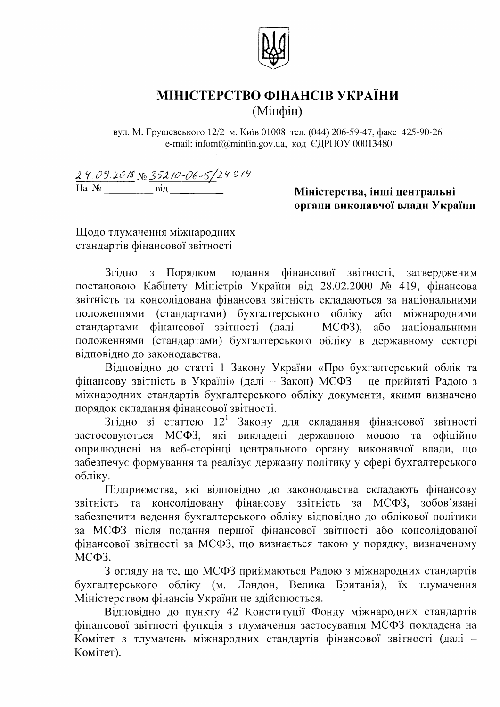

## МІНІСТЕРСТВО ФІНАНСІВ УКРАЇНИ (Мінфін)

вул. М. Грушевського 12/2 м. Київ 01008 тел. (044) 206-59-47, факс 425-90-26 e-mail: infomf@minfin.gov.ua, код ЄДРПОУ 00013480

 $24.09.2018$  No  $35210 - 06 - 5/2491$ 

## Міністерства, інші центральні органи виконавчої влади України

Щодо тлумачення міжнародних стандартів фінансової звітності

Згідно з Порядком подання фінансової звітності, затвердженим постановою Кабінету Міністрів України від 28.02.2000 № 419, фінансова звітність та консолідована фінансова звітність складаються за національними положеннями (стандартами) бухгалтерського обліку або міжнародними стандартами фінансової звітності (далі – МСФЗ), або національними положеннями (стандартами) бухгалтерського обліку в державному секторі відповідно до законодавства.

Відповідно до статті 1 Закону України «Про бухгалтерський облік та фінансову звітність в Україні» (далі - Закон) МСФЗ - це прийняті Радою з міжнародних стандартів бухгалтерського обліку документи, якими визначено порядок складання фінансової звітності.

Згідно зі статтею 12<sup>1</sup> Закону для складання фінансової звітності застосовуються МСФЗ, які викладені державною мовою та офіційно оприлюднені на веб-сторінці центрального органу виконавчої влади, що забезпечує формування та реалізує державну політику у сфері бухгалтерського обліку.

Підприємства, які відповідно до законодавства складають фінансову звітність та консолідовану фінансову звітність за МСФЗ, зобов'язані забезпечити ведення бухгалтерського обліку відповідно до облікової політики за МСФЗ після подання першої фінансової звітності або консолідованої фінансової звітності за МСФЗ, що визнається такою у порядку, визначеному МСФЗ.

3 огляду на те, що МСФЗ приймаються Радою з міжнародних стандартів бухгалтерського обліку (м. Лондон, Велика Британія), їх тлумачення Міністерством фінансів України не здійснюється.

Відповідно до пункту 42 Конституції Фонду міжнародних стандартів фінансової звітності функція з тлумачення застосування МСФЗ покладена на Комітет з тлумачень міжнародних стандартів фінансової звітності (далі -Комітет).